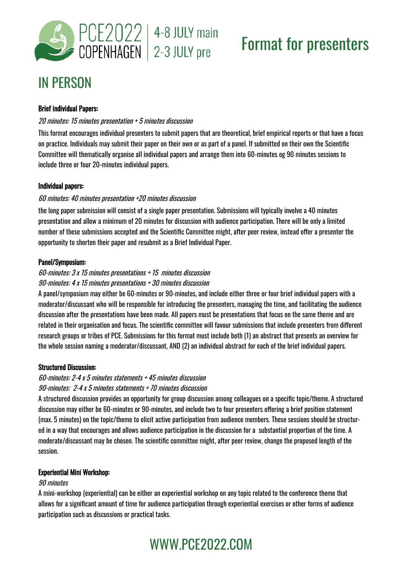

# Format for presenters

# IN PERSON

### Brief individual Papers:

### 20 minutes: 15 minutes presentation + 5 minutes discussion

This format encourages individual presenters to submit papers that are theoretical, brief empirical reports or that have a focus on practice. Individuals may submit their paper on their own or as part of a panel. If submitted on their own the Scientific Committee will thematically organise all individual papers and arrange them into 60-minutes og 90 minutes sessions to include three or four 20-minutes individual papers.

### Individual papers:

### 60 minutes: 40 minutes presentation +20 minutes discussion

the long paper submission will consist of a single paper presentation. Submissions will typically involve a 40 minutes presentation and allow a minimum of 20 minutes for discussion with audience participation. There will be only a limited number of these submissions accepted and the Scientific Committee might, after peer review, instead offer a presenter the opportunity to shorten their paper and resubmit as a Brief Individual Paper.

### Panel/Symposium:

### 60-minutes: 3 x 15 minutes presentations + 15 minutes discussion 90-minutes: 4 x 15 minutes presentations + 30 minutes discussion

A panel/symposium may either be 60-minutes or 90-minutes, and include either three or four brief individual papers with a moderator/discussant who will be responsible for introducing the presenters, managing the time, and facilitating the audience discussion after the presentations have been made. All papers must be presentations that focus on the same theme and are related in their organisation and focus. The scientific committee will favour submissions that include presenters from different research groups or tribes of PCE. Submissions for this format must include both (1) an abstract that presents an overview for the whole session naming a moderator/discussant, AND (2) an individual abstract for each of the brief individual papers.

### Structured Discussion:

### 60-minutes: 2-4 x 5 minutes statements + 45 minutes discussion

### 90-minutes: 2-4 x 5 minutes statements + 70 minutes discussion

A structured discussion provides an opportunity for group discussion among colleagues on a specific topic/theme. A structured discussion may either be 60-minutes or 90-minutes, and include two to four presenters offering a brief position statement (max. 5 minutes) on the topic/theme to elicit active participation from audience members. These sessions should be structured in a way that encourages and allows audience participation in the discussion for a substantial proportion of the time. A moderate/discussant may be chosen. The scientific committee might, after peer review, change the proposed length of the session.

### Experiential Mini Workshop:

### 90 minutes

A mini-workshop (experiential) can be either an experiential workshop on any topic related to the conference theme that allows for a significant amount of time for audience participation through experiential exercises or other forms of audience participation such as discussions or practical tasks.

# WWW.PCE2022.COM